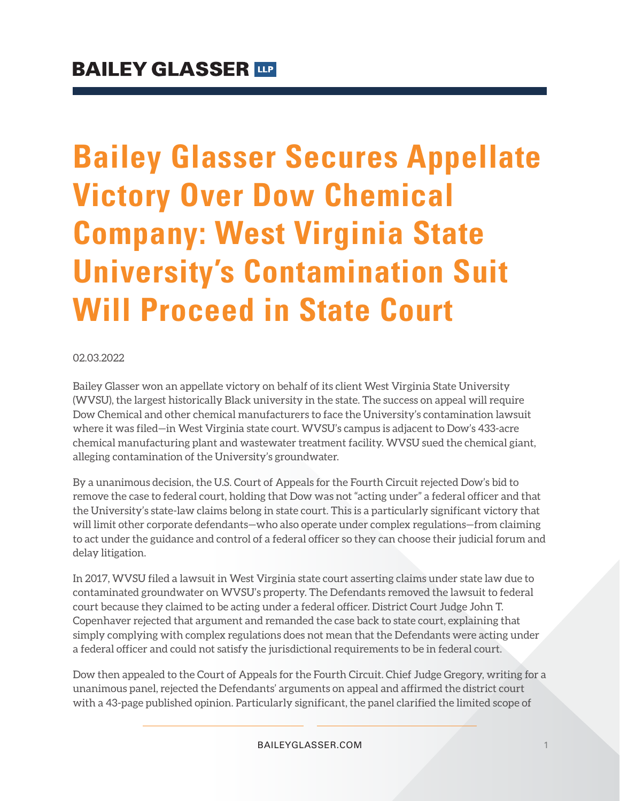# **Bailey Glasser Secures Appellate Victory Over Dow Chemical Company: West Virginia State University's Contamination Suit Will Proceed in State Court**

#### 02.03.2022

Bailey Glasser won an appellate victory on behalf of its client West Virginia State University (WVSU), the largest historically Black university in the state. The success on appeal will require Dow Chemical and other chemical manufacturers to face the University's contamination lawsuit where it was filed—in West Virginia state court. WVSU's campus is adjacent to Dow's 433-acre chemical manufacturing plant and wastewater treatment facility. WVSU sued the chemical giant, alleging contamination of the University's groundwater.

By a unanimous decision, the U.S. Court of Appeals for the Fourth Circuit rejected Dow's bid to remove the case to federal court, holding that Dow was not "acting under" a federal officer and that the University's state-law claims belong in state court. This is a particularly significant victory that will limit other corporate defendants—who also operate under complex regulations—from claiming to act under the guidance and control of a federal officer so they can choose their judicial forum and delay litigation.

In 2017, WVSU filed a lawsuit in West Virginia state court asserting claims under state law due to contaminated groundwater on WVSU's property. The Defendants removed the lawsuit to federal court because they claimed to be acting under a federal officer. District Court Judge John T. Copenhaver rejected that argument and remanded the case back to state court, explaining that simply complying with complex regulations does not mean that the Defendants were acting under a federal officer and could not satisfy the jurisdictional requirements to be in federal court.

Dow then appealed to the Court of Appeals for the Fourth Circuit. Chief Judge Gregory, writing for a unanimous panel, rejected the Defendants' arguments on appeal and affirmed the district court with a 43-page published opinion. Particularly significant, the panel clarified the limited scope of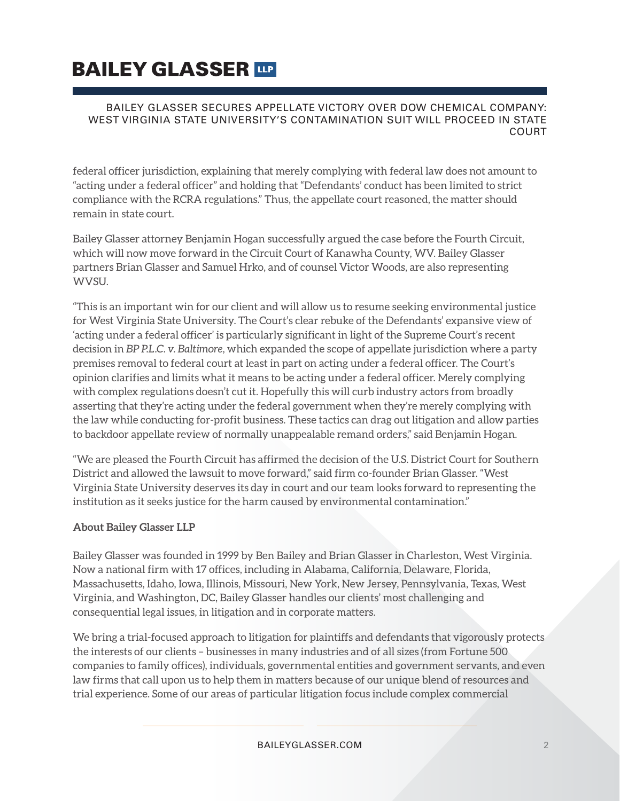# **BAILEY GLASSER TIP**

#### BAILEY GLASSER SECURES APPELLATE VICTORY OVER DOW CHEMICAL COMPANY: WEST VIRGINIA STATE UNIVERSITY'S CONTAMINATION SUIT WILL PROCEED IN STATE COURT

federal officer jurisdiction, explaining that merely complying with federal law does not amount to "acting under a federal officer" and holding that "Defendants' conduct has been limited to strict compliance with the RCRA regulations." Thus, the appellate court reasoned, the matter should remain in state court.

Bailey Glasser attorney Benjamin Hogan successfully argued the case before the Fourth Circuit, which will now move forward in the Circuit Court of Kanawha County, WV. Bailey Glasser partners Brian Glasser and Samuel Hrko, and of counsel Victor Woods, are also representing WVSU.

"This is an important win for our client and will allow us to resume seeking environmental justice for West Virginia State University. The Court's clear rebuke of the Defendants' expansive view of 'acting under a federal officer' is particularly significant in light of the Supreme Court's recent decision in *BP P.L.C. v. Baltimore*, which expanded the scope of appellate jurisdiction where a party premises removal to federal court at least in part on acting under a federal officer. The Court's opinion clarifies and limits what it means to be acting under a federal officer. Merely complying with complex regulations doesn't cut it. Hopefully this will curb industry actors from broadly asserting that they're acting under the federal government when they're merely complying with the law while conducting for-profit business. These tactics can drag out litigation and allow parties to backdoor appellate review of normally unappealable remand orders," said Benjamin Hogan.

"We are pleased the Fourth Circuit has affirmed the decision of the U.S. District Court for Southern District and allowed the lawsuit to move forward," said firm co-founder Brian Glasser. "West Virginia State University deserves its day in court and our team looks forward to representing the institution as it seeks justice for the harm caused by environmental contamination."

#### **About Bailey Glasser LLP**

Bailey Glasser was founded in 1999 by Ben Bailey and Brian Glasser in Charleston, West Virginia. Now a national firm with 17 offices, including in Alabama, California, Delaware, Florida, Massachusetts, Idaho, Iowa, Illinois, Missouri, New York, New Jersey, Pennsylvania, Texas, West Virginia, and Washington, DC, Bailey Glasser handles our clients' most challenging and consequential legal issues, in litigation and in corporate matters.

We bring a trial-focused approach to litigation for plaintiffs and defendants that vigorously protects the interests of our clients – businesses in many industries and of all sizes (from Fortune 500 companies to family offices), individuals, governmental entities and government servants, and even law firms that call upon us to help them in matters because of our unique blend of resources and trial experience. Some of our areas of particular litigation focus include complex commercial